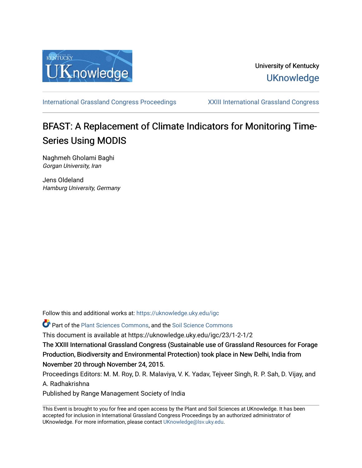

## University of Kentucky **UKnowledge**

[International Grassland Congress Proceedings](https://uknowledge.uky.edu/igc) [XXIII International Grassland Congress](https://uknowledge.uky.edu/igc/23) 

# BFAST: A Replacement of Climate Indicators for Monitoring Time-Series Using MODIS

Naghmeh Gholami Baghi Gorgan University, Iran

Jens Oldeland Hamburg University, Germany

Follow this and additional works at: [https://uknowledge.uky.edu/igc](https://uknowledge.uky.edu/igc?utm_source=uknowledge.uky.edu%2Figc%2F23%2F1-2-1%2F2&utm_medium=PDF&utm_campaign=PDFCoverPages) 

Part of the [Plant Sciences Commons](http://network.bepress.com/hgg/discipline/102?utm_source=uknowledge.uky.edu%2Figc%2F23%2F1-2-1%2F2&utm_medium=PDF&utm_campaign=PDFCoverPages), and the [Soil Science Commons](http://network.bepress.com/hgg/discipline/163?utm_source=uknowledge.uky.edu%2Figc%2F23%2F1-2-1%2F2&utm_medium=PDF&utm_campaign=PDFCoverPages) 

This document is available at https://uknowledge.uky.edu/igc/23/1-2-1/2

The XXIII International Grassland Congress (Sustainable use of Grassland Resources for Forage Production, Biodiversity and Environmental Protection) took place in New Delhi, India from November 20 through November 24, 2015.

Proceedings Editors: M. M. Roy, D. R. Malaviya, V. K. Yadav, Tejveer Singh, R. P. Sah, D. Vijay, and A. Radhakrishna

Published by Range Management Society of India

This Event is brought to you for free and open access by the Plant and Soil Sciences at UKnowledge. It has been accepted for inclusion in International Grassland Congress Proceedings by an authorized administrator of UKnowledge. For more information, please contact [UKnowledge@lsv.uky.edu](mailto:UKnowledge@lsv.uky.edu).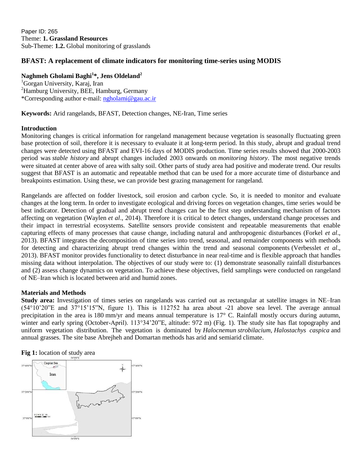### **BFAST: A replacement of climate indicators for monitoring time-series using MODIS**

#### **Naghmeh Gholami Baghi<sup>1</sup> \*, Jens Oldeland<sup>2</sup>**

<sup>1</sup>Gorgan University, Karaj, Iran <sup>2</sup>Hamburg University, BEE, Hamburg, Germany \*Corresponding author e-mail: [ngholami@gau.ac.ir](mailto:ngholami@gau.ac.ir)

**Keywords:** Arid rangelands, BFAST, Detection changes, NE-Iran, Time series

#### **Introduction**

Monitoring changes is critical information for rangeland management because vegetation is seasonally fluctuating green base protection of soil, therefore it is necessary to evaluate it at long-term period. In this study, abrupt and gradual trend changes were detected using BFAST and EVI-16 days of MODIS production. Time series results showed that 2000-2003 period was *stable history* and abrupt changes included 2003 onwards on *monitoring history*. The most negative trends were situated at center above of area with salty soil. Other parts of study area had positive and moderate trend. Our results suggest that BFAST is an automatic and repeatable method that can be used for a more accurate time of disturbance and breakpoints estimation. Using these, we can provide best grazing management for rangeland.

Rangelands are affected on fodder livestock, soil erosion and carbon cycle. So, it is needed to monitor and evaluate changes at the long term. In order to investigate ecological and driving forces on vegetation changes, time series would be best indicator. Detection of gradual and abrupt trend changes can be the first step understanding mechanism of factors affecting on vegetation (Waylen *et al*., 2014). Therefore it is critical to detect changes, understand change processes and their impact in terrestrial ecosystems. Satellite sensors provide consistent and repeatable measurements that enable capturing effects of many processes that cause change, including natural and anthropogenic disturbances (Forkel *et al*., 2013). BFAST integrates the decomposition of time series into trend, seasonal, and remainder components with methods for detecting and characterizing abrupt trend changes within the trend and seasonal components (Verbesslet *et al*., 2013). BFAST monitor provides functionality to detect disturbance in near real-time and is flexible approach that handles missing data without interpolation. The objectives of our study were to: (1) demonstrate seasonally rainfall disturbances and (2) assess change dynamics on vegetation. To achieve these objectives, field samplings were conducted on rangeland of NE–Iran which is located between arid and humid zones.

#### **Materials and Methods**

**Study area:** Investigation of times series on rangelands was carried out as rectangular at satellite images in NE–Iran (54°10'20"E and 37°15'15"N, figure 1). This is 112752 ha area about -21 above sea level. The average annual precipitation in the area is 180 mm/yr and means annual temperature is 17° C. Rainfall mostly occurs during autumn, winter and early spring (October-April). 113°34'20"E, altitude: 972 m) (Fig. 1). The study site has flat topography and uniform vegetation distribution. The vegetation is dominated by *Halocnemun strobilacium*, *Halostachys caspica* and annual grasses. The site base Abrejheh and Domartan methods has arid and semiarid climate.



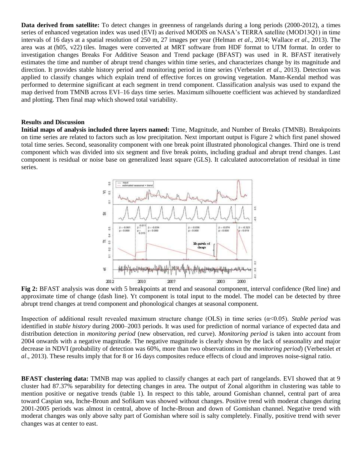**Data derived from satellite:** To detect changes in greenness of rangelands during a long periods (2000-2012), a times series of enhanced vegetation index was used (EVI) as derived MODIS on NASA's TERRA satellite (MOD13Q1) in time intervals of 16 days at a spatial resolution of 250 m, 27 images per year (Helman *et al*., 2014; Wallace *et al*., 2013). The area was at (h05, v22) tiles. Images were converted at MRT software from HDF format to UTM format. In order to investigation changes Breaks For Additive Season and Trend package (BFAST) was used in R. BFAST iteratively estimates the time and number of abrupt trend changes within time series, and characterizes change by its magnitude and direction. It provides stable history period and monitoring period in time series (Verbesslet *et al*., 2013). Detection was applied to classify changes which explain trend of effective forces on growing vegetation. Mann-Kendal method was performed to determine significant at each segment in trend component. Classification analysis was used to expand the map derived from TMNB across EVI–16 days time series. Maximum silhouette coefficient was achieved by standardized and plotting. Then final map which showed total variability.

#### **Results and Discussion**

**Initial maps of analysis included three layers named:** Time, Magnitude, and Number of Breaks (TMNB). Breakpoints on time series are related to factors such as low precipitation. Next important output is Figure 2 which first panel showed total time series. Second, seasonality component with one break point illustrated phonological changes. Third one is trend component which was divided into six segment and five break points, including gradual and abrupt trend changes. Last component is residual or noise base on generalized least square (GLS). It calculated autocorrelation of residual in time series.



**Fig 2:** BFAST analysis was done with 5 breakpoints at trend and seasonal component, interval confidence (Red line) and approximate time of change (dash line). Yt component is total input to the model. The model can be detected by three abrupt trend changes at trend component and phonological changes at seasonal component.

Inspection of additional result revealed maximum structure change (OLS) in time series (α<0.05). *Stable period* was identified in *stable history* during 2000–2003 periods. It was used for prediction of normal variance of expected data and distribution detection in *monitoring period* (new observation, red curve). *Monitoring period* is taken into account from 2004 onwards with a negative magnitude. The negative magnitude is clearly shown by the lack of seasonality and major decrease in NDVI (probability of detection was 60%, more than two observations in the *monitoring period*) (Verbesslet *et al*., 2013). These results imply that for 8 or 16 days composites reduce effects of cloud and improves noise-signal ratio.

**BFAST clustering data:** TMNB map was applied to classify changes at each part of rangelands. EVI showed that at 9 cluster had 87.37% separability for detecting changes in area. The output of Zonal algorithm in clustering was table to mention positive or negative trends (table 1). In respect to this table, around Gomishan channel, central part of area toward Caspian sea, Inche-Broun and Sofikam was showed without changes. Positive trend with moderat changes during 2001-2005 periods was almost in central, above of Inche-Broun and down of Gomishan channel. Negative trend with moderat changes was only above salty part of Gomishan where soil is salty completely. Finally, positive trend with sever changes was at center to east.